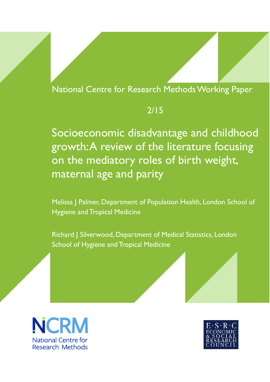## National Centre for Research Methods Working Paper

# 2/15

Socioeconomic disadvantage and childhood growth: A review of the literature focusing on the mediatory roles of birth weight, maternal age and parity

Melissa J Palmer, Department of Population Health, London School of Hygiene and Tropical Medicine

Richard J Silverwood, Department of Medical Statistics, London School of Hygiene and Tropical Medicine



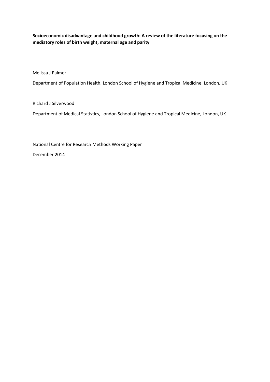**Socioeconomic disadvantage and childhood growth: A review of the literature focusing on the mediatory roles of birth weight, maternal age and parity**

Melissa J Palmer

Department of Population Health, London School of Hygiene and Tropical Medicine, London, UK

Richard J Silverwood

Department of Medical Statistics, London School of Hygiene and Tropical Medicine, London, UK

National Centre for Research Methods Working Paper

December 2014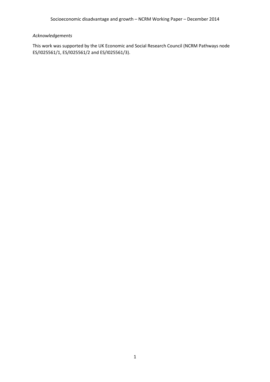### *Acknowledgements*

This work was supported by the UK Economic and Social Research Council (NCRM Pathways node ES/I025561/1, ES/I025561/2 and ES/I025561/3).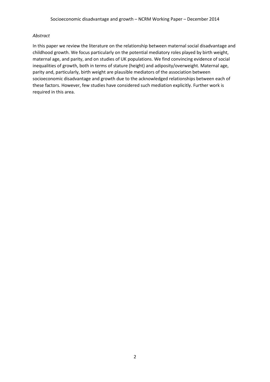#### *Abstract*

In this paper we review the literature on the relationship between maternal social disadvantage and childhood growth. We focus particularly on the potential mediatory roles played by birth weight, maternal age, and parity, and on studies of UK populations. We find convincing evidence of social inequalities of growth, both in terms of stature (height) and adiposity/overweight. Maternal age, parity and, particularly, birth weight are plausible mediators of the association between socioeconomic disadvantage and growth due to the acknowledged relationships between each of these factors. However, few studies have considered such mediation explicitly. Further work is required in this area.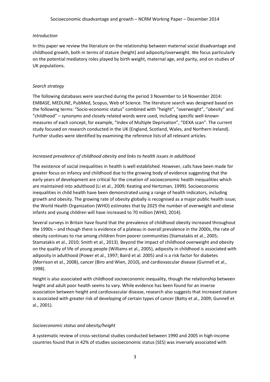#### *Introduction*

In this paper we review the literature on the relationship between maternal social disadvantage and childhood growth, both in terms of stature (height) and adiposity/overweight. We focus particularly on the potential mediatory roles played by birth weight, maternal age, and parity, and on studies of UK populations.

#### *Search strategy*

The following databases were searched during the period 3 November to 14 November 2014: EMBASE, MEDLINE, PubMed, Scopus, Web of Science. The literature search was designed based on the following terms: "Socio-economic status" combined with "height", "overweight", "obesity" and "childhood" – synonyms and closely related words were used, including specific well-known measures of each concept, for example, "Index of Multiple Deprivation", "DEXA scan". The current study focused on research conducted in the UK (England, Scotland, Wales, and Northern Ireland). Further studies were identified by examining the reference lists of all relevant articles.

#### *Increased prevalence of childhood obesity and links to health issues in adulthood*

The existence of social inequalities in health is well established. However, calls have been made for greater focus on infancy and childhood due to the growing body of evidence suggesting that the early years of development are critical for the creation of socioeconomic health inequalities which are maintained into adulthood (Li et al., 2009; Keating and Hertzman, 1999). Socioeconomic inequalities in child health have been demonstrated using a range of health indicators, including growth and obesity. The growing rate of obesity globally is recognised as a major public health issue; the World Health Organization (WHO) estimates that by 2025 the number of overweight and obese infants and young children will have increased to 70 million (WHO, 2014).

Several surveys in Britain have found that the prevalence of childhood obesity increased throughout the 1990s – and though there is evidence of a plateau in overall prevalence in the 2000s, the rate of obesity continues to rise among children from poorer communities (Stamatakis et al., 2005; Stamatakis et al., 2010; Smith et al., 2013). Beyond the impact of childhood overweight and obesity on the quality of life of young people (Williams et al., 2005), adiposity in childhood is associated with adiposity in adulthood (Power et al., 1997; Baird et al. 2005) and is a risk factor for diabetes (Morrison et al., 2008), cancer (Biro and Wien, 2010), and cardiovascular disease (Gunnell et al., 1998).

Height is also associated with childhood socioeconomic inequality, though the relationship between height and adult poor health seems to vary. While evidence has been found for an inverse association between height and cardiovascular disease, research also suggests that increased stature is associated with greater risk of developing of certain types of cancer (Batty et al., 2009; Gunnell et al., 2001).

#### *Socioeconomic status and obesity/height*

A systematic review of cross-sectional studies conducted between 1990 and 2005 in high-income countries found that in 42% of studies socioeconomic status (SES) was inversely associated with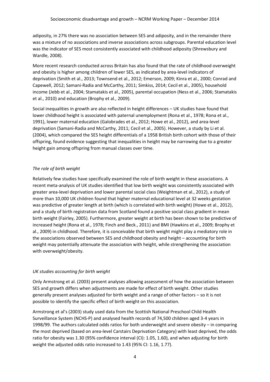adiposity, in 27% there was no association between SES and adiposity, and in the remainder there was a mixture of no associations and inverse associations across subgroups. Parental education level was the indicator of SES most consistently associated with childhood adiposity (Shrewsbury and Wardle, 2008).

More recent research conducted across Britain has also found that the rate of childhood overweight and obesity is higher among children of lower SES, as indicated by area-level indicators of deprivation (Smith et al., 2013; Townsend et al., 2012; Emerson, 2009; Kinra et al., 2000; Conrad and Capewell, 2012; Samani-Radia and McCarthy, 2011; Simkiss, 2014; Cecil et al., 2005), household income (Jebb et al., 2004; Stamatakis et al., 2005), parental occupation (Ness et al., 2006; Stamatakis et al., 2010) and education (Brophy et al., 2009).

Social inequalities in growth are also reflected in height differences – UK studies have found that lower childhood height is associated with paternal unemployment (Rona et al., 1978; Rona et al., 1991), lower maternal education (Galobrades et al., 2012; Howe et al., 2012), and area-level deprivation (Samani-Radia and McCarthy, 2011; Cecil et al., 2005). However, a study by Li et al. (2004), which compared the SES height differentials of a 1958 British birth cohort with those of their offspring, found evidence suggesting that inequalities in height may be narrowing due to a greater height gain among offspring from manual classes over time.

#### *The role of birth weight*

Relatively few studies have specifically examined the role of birth weight in these associations. A recent meta-analysis of UK studies identified that low birth weight was consistently associated with greater area-level deprivation and lower parental social class (Weightman et al., 2012), a study of more than 10,000 UK children found that higher maternal educational level at 32 weeks gestation was predictive of greater length at birth (which is correlated with birth weight) (Howe et al., 2012), and a study of birth registration data from Scotland found a positive social class gradient in mean birth weight (Fairley, 2005). Furthermore, greater weight at birth has been shown to be predictive of increased height (Rona et al., 1978; Finch and Beck., 2011) and BMI (Hawkins et al., 2009; Brophy et al., 2009) in childhood. Therefore, it is conceivable that birth weight might play a mediatory role in the associations observed between SES and childhood obesity and height – accounting for birth weight may potentially attenuate the association with height, while strengthening the association with overweight/obesity.

#### *UK studies accounting for birth weight*

Only Armstrong et al. (2003) present analyses allowing assessment of how the association between SES and growth differs when adjustments are made for effect of birth weight. Other studies generally present analyses adjusted for birth weight and a range of other factors – so it is not possible to identify the specific effect of birth weight on this association.

Armstrong et al's (2003) study used data from the Scottish National Preschool Child Health Surveillance System (NCHS-P) and analysed health records of 74,500 children aged 3-4 years in 1998/99. The authors calculated odds ratios for both underweight and severe obesity – in comparing the most deprived (based on area-level Carstairs Deprivation Category) with least deprived, the odds ratio for obesity was 1.30 (95% confidence interval (CI): 1.05, 1.60), and when adjusting for birth weight the adjusted odds ratio increased to 1.43 (95% CI: 1.16, 1.77).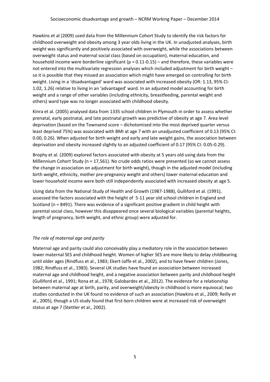Hawkins et al (2009) used data from the Millennium Cohort Study to identify the risk factors for childhood overweight and obesity among 3 year olds living in the UK. In unadjusted analyses, birth weight was significantly and positively associated with overweight, while the associations between overweight status and maternal social class (based on occupation), maternal education, and household income were borderline significant ( $p = 0.11$ -0.15) – and therefore, these variables were not entered into the multivariate regression analyses which included adjustment for birth weight – so it is possible that they missed an association which might have emerged on controlling for birth weight. Living in a 'disadvantaged' ward was associated with increased obesity (OR: 1.13, 95% CI: 1.02, 1.26) relative to living in an 'advantaged' ward. In an adjusted model accounting for birth weight and a range of other variables (including ethnicity, breastfeeding, parental weight and others) ward type was no longer associated with childhood obesity.

Kinra et al. (2005) analysed data from 1335 school children in Plymouth in order to assess whether prenatal, early postnatal, and late postnatal growth was predictive of obesity at age 7. Area level deprivation (based on the Townsend score – dichotomised into the most deprived quarter versus least deprived 75%) was associated with BMI at age 7 with an unadjusted coefficient of 0.13 (95% CI: 0.00, 0.26). When adjusted for birth weight and early and late weight gains, the association between deprivation and obesity increased slightly to an adjusted coefficient of 0.17 (95% CI: 0.05-0.29).

Brophy et al. (2009) explored factors associated with obesity at 5 years old using data from the Millennium Cohort Study (n = 17,561). No crude odds ratios were presented (so we cannot assess the change in association on adjustment for birth weight), though in the adjusted model (including birth weight, ethnicity, mother pre-pregnancy weight and others) lower maternal education and lower household income were both still independently associated with increased obesity at age 5.

Using data from the National Study of Health and Growth (1987-1988), Gulliford et al. (1991), assessed the factors associated with the height of 5-11 year old school children in England and Scotland (n = 8491). There was evidence of a significant positive gradient in child height with parental social class, however this disappeared once several biological variables (parental heights, length of pregnancy, birth weight, and ethnic group) were adjusted for.

#### *The role of maternal age and parity*

Maternal age and parity could also conceivably play a mediatory role in the association between lower maternal SES and childhood height. Women of higher SES are more likely to delay childbearing until older ages (Rindfuss et al., 1983; Ekert-Jaffe et al., 2002), and to have fewer children (Jones, 1982; Rindfuss et al., 1983). Several UK studies have found an association between increased maternal age and childhood height, and a negative association between parity and childhood height (Gulliford et al., 1991; Rona et al., 1978; Galobardes et al., 2012). The evidence for a relationship between maternal age at birth, parity, and overweight/obesity in childhood is more equivocal; two studies conducted in the UK found no evidence of such an association (Hawkins et al., 2009; Reilly et al., 2005), though a US study found that first-born children were at increased risk of overweight status at age 7 (Stettler et al., 2002).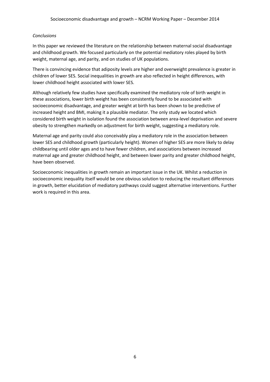#### *Conclusions*

In this paper we reviewed the literature on the relationship between maternal social disadvantage and childhood growth. We focused particularly on the potential mediatory roles played by birth weight, maternal age, and parity, and on studies of UK populations.

There is convincing evidence that adiposity levels are higher and overweight prevalence is greater in children of lower SES. Social inequalities in growth are also reflected in height differences, with lower childhood height associated with lower SES.

Although relatively few studies have specifically examined the mediatory role of birth weight in these associations, lower birth weight has been consistently found to be associated with socioeconomic disadvantage, and greater weight at birth has been shown to be predictive of increased height and BMI, making it a plausible mediator. The only study we located which considered birth weight in isolation found the association between area-level deprivation and severe obesity to strengthen markedly on adjustment for birth weight, suggesting a mediatory role.

Maternal age and parity could also conceivably play a mediatory role in the association between lower SES and childhood growth (particularly height). Women of higher SES are more likely to delay childbearing until older ages and to have fewer children, and associations between increased maternal age and greater childhood height, and between lower parity and greater childhood height, have been observed.

Socioeconomic inequalities in growth remain an important issue in the UK. Whilst a reduction in socioeconomic inequality itself would be one obvious solution to reducing the resultant differences in growth, better elucidation of mediatory pathways could suggest alternative interventions. Further work is required in this area.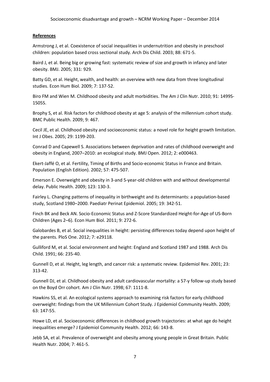#### **References**

Armstrong J, et al. Coexistence of social inequalities in undernutrition and obesity in preschool children: population based cross sectional study. Arch Dis Child. 2003; 88: 671-5.

Baird J, et al. Being big or growing fast: systematic review of size and growth in infancy and later obesity. BMJ. 2005; 331: 929.

Batty GD, et al. Height, wealth, and health: an overview with new data from three longitudinal studies. Econ Hum Biol. 2009; 7: 137-52.

Biro FM and Wien M. Childhood obesity and adult morbidities. The Am J Clin Nutr. 2010; 91: 1499S-1505S.

Brophy S, et al. Risk factors for childhood obesity at age 5: analysis of the millennium cohort study. BMC Public Health. 2009; 9: 467.

Cecil JE, et al. Childhood obesity and socioeconomic status: a novel role for height growth limitation. Int J Obes. 2005; 29: 1199-203.

Conrad D and Capewell S. Associations between deprivation and rates of childhood overweight and obesity in England, 2007–2010: an ecological study. BMJ Open. 2012; 2: e000463.

Ekert-Jaffé O, et al. Fertility, Timing of Births and Socio-economic Status in France and Britain. Population (English Edition). 2002; 57: 475-507.

Emerson E. Overweight and obesity in 3-and 5-year-old children with and without developmental delay. Public Health. 2009; 123: 130-3.

Fairley L. Changing patterns of inequality in birthweight and its determinants: a population‐based study, Scotland 1980–2000. Paediatr Perinat Epidemiol. 2005; 19: 342-51.

Finch BK and Beck AN. Socio-Economic Status and Z-Score Standardized Height-for-Age of US-Born Children (Ages 2–6). Econ Hum Biol. 2011; 9: 272-6.

Galobardes B, et al. Social inequalities in height: persisting differences today depend upon height of the parents. PloS One. 2012; 7: e29118.

Gulliford M, et al. Social environment and height: England and Scotland 1987 and 1988. Arch Dis Child. 1991; 66: 235-40.

Gunnell D, et al. Height, leg length, and cancer risk: a systematic review. Epidemiol Rev. 2001; 23: 313-42.

Gunnell DJ, et al. Childhood obesity and adult cardiovascular mortality: a 57-y follow-up study based on the Boyd Orr cohort. Am J Clin Nutr. 1998; 67: 1111-8.

Hawkins SS, et al. An ecological systems approach to examining risk factors for early childhood overweight: findings from the UK Millennium Cohort Study. J Epidemiol Community Health. 2009; 63: 147-55.

Howe LD, et al. Socioeconomic differences in childhood growth trajectories: at what age do height inequalities emerge? J Epidemiol Community Health. 2012; 66: 143-8.

Jebb SA, et al. Prevalence of overweight and obesity among young people in Great Britain. Public Health Nutr. 2004; 7: 461-5.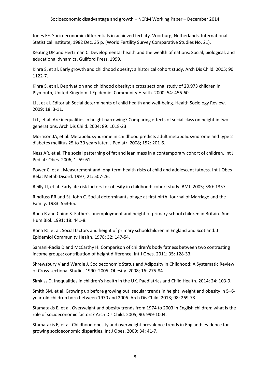Jones EF. Socio-economic differentials in achieved fertility. Voorburg, Netherlands, International Statistical Institute, 1982 Dec. 35 p. (World Fertility Survey Comparative Studies No. 21).

Keating DP and Hertzman C. Developmental health and the wealth of nations: Social, biological, and educational dynamics. Guilford Press. 1999.

Kinra S, et al. Early growth and childhood obesity: a historical cohort study. Arch Dis Child. 2005; 90: 1122-7.

Kinra S, et al. Deprivation and childhood obesity: a cross sectional study of 20,973 children in Plymouth, United Kingdom. J Epidemiol Community Health. 2000; 54: 456-60.

Li J, et al. Editorial: Social determinants of child health and well-being. Health Sociology Review. 2009; 18: 3-11.

Li L, et al. Are inequalities in height narrowing? Comparing effects of social class on height in two generations. Arch Dis Child. 2004; 89: 1018-23

Morrison JA, et al. Metabolic syndrome in childhood predicts adult metabolic syndrome and type 2 diabetes mellitus 25 to 30 years later. J Pediatr. 2008; 152: 201-6.

Ness AR, et al. The social patterning of fat and lean mass in a contemporary cohort of children. Int J Pediatr Obes. 2006; 1: 59-61.

Power C, et al. Measurement and long-term health risks of child and adolescent fatness. Int J Obes Relat Metab Disord. 1997; 21: 507-26.

Reilly JJ, et al. Early life risk factors for obesity in childhood: cohort study. BMJ. 2005; 330: 1357.

Rindfuss RR and St. John C. Social determinants of age at first birth. Journal of Marriage and the Family. 1983: 553-65.

Rona R and Chinn S. Father's unemployment and height of primary school children in Britain. Ann Hum Biol. 1991; 18: 441-8.

Rona RJ, et al. Social factors and height of primary schoolchildren in England and Scotland. J Epidemiol Community Health. 1978; 32: 147-54.

Samani-Radia D and McCarthy H. Comparison of children's body fatness between two contrasting income groups: contribution of height difference. Int J Obes. 2011; 35: 128-33.

Shrewsbury V and Wardle J. Socioeconomic Status and Adiposity in Childhood: A Systematic Review of Cross‐sectional Studies 1990–2005. Obesity. 2008; 16: 275-84.

Simkiss D. Inequalities in children's health in the UK. Paediatrics and Child Health. 2014; 24: 103-9.

Smith SM, et al. Growing up before growing out: secular trends in height, weight and obesity in 5–6 year-old children born between 1970 and 2006. Arch Dis Child. 2013; 98: 269-73.

Stamatakis E, et al. Overweight and obesity trends from 1974 to 2003 in English children: what is the role of socioeconomic factors? Arch Dis Child. 2005; 90: 999-1004.

Stamatakis E, et al. Childhood obesity and overweight prevalence trends in England: evidence for growing socioeconomic disparities. Int J Obes. 2009; 34: 41-7.